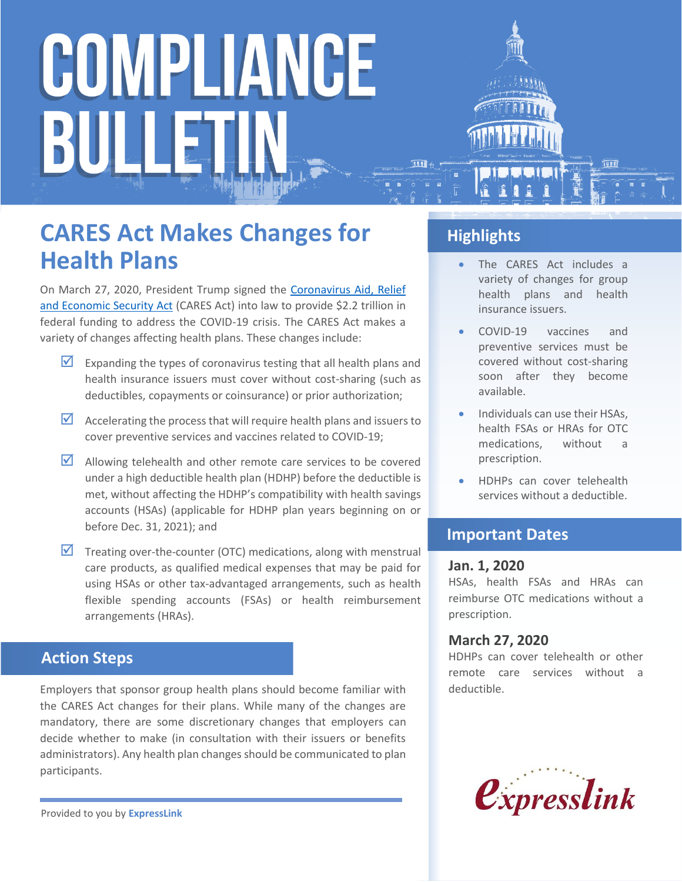# COMPLIANCE BULLET

### **CARES Act Makes Changes for Health Plans**

On March 27, 2020, President Trump signed the [Coronavirus Aid, Relief](https://www.congress.gov/bill/116th-congress/house-bill/748/text)  [and Economic Security Act](https://www.congress.gov/bill/116th-congress/house-bill/748/text) (CARES Act) into law to provide \$2.2 trillion in federal funding to address the COVID-19 crisis. The CARES Act makes a variety of changes affecting health plans. These changes include:

- Expanding the types of coronavirus testing that all health plans and health insurance issuers must cover without cost-sharing (such as deductibles, copayments or coinsurance) or prior authorization;
- $\blacksquare$  Accelerating the process that will require health plans and issuers to cover preventive services and vaccines related to COVID-19;
- $\blacksquare$  Allowing telehealth and other remote care services to be covered under a high deductible health plan (HDHP) before the deductible is met, without affecting the HDHP's compatibility with health savings accounts (HSAs) (applicable for HDHP plan years beginning on or before Dec. 31, 2021); and
- $\overline{\mathbf{M}}$  Treating over-the-counter (OTC) medications, along with menstrual care products, as qualified medical expenses that may be paid for using HSAs or other tax-advantaged arrangements, such as health flexible spending accounts (FSAs) or health reimbursement arrangements (HRAs).

#### **Action Steps**

Employers that sponsor group health plans should become familiar with the CARES Act changes for their plans. While many of the changes are mandatory, there are some discretionary changes that employers can decide whether to make (in consultation with their issuers or benefits administrators). Any health plan changes should be communicated to plan participants.

Provided to you by **ExpressLink**

#### **Highlights**

- The CARES Act includes a variety of changes for group health plans and health insurance issuers.
- COVID-19 vaccines and preventive services must be covered without cost-sharing soon after they become available.
- Individuals can use their HSAs, health FSAs or HRAs for OTC medications, without a prescription.
- HDHPs can cover telehealth services without a deductible.

#### **Important Dates**

#### **Jan. 1, 2020**

HSAs, health FSAs and HRAs can reimburse OTC medications without a prescription.

#### **March 27, 2020**

HDHPs can cover telehealth or other remote care services without a deductible.

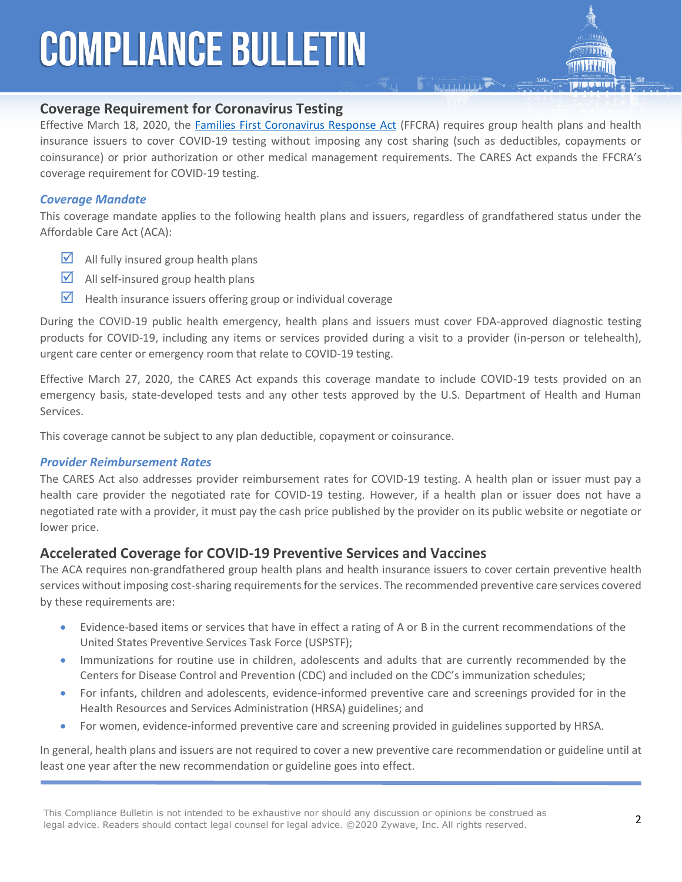### **COMPLIANCE BULLETIN**

#### **Coverage Requirement for Coronavirus Testing**

Effective March 18, 2020, the [Families First Coronavirus Response Act](https://www.congress.gov/116/bills/hr6201/BILLS-116hr6201enr.pdf) (FFCRA) requires group health plans and health insurance issuers to cover COVID-19 testing without imposing any cost sharing (such as deductibles, copayments or coinsurance) or prior authorization or other medical management requirements. The CARES Act expands the FFCRA's coverage requirement for COVID-19 testing.

**ENTITLES** 

#### *Coverage Mandate*

This coverage mandate applies to the following health plans and issuers, regardless of grandfathered status under the Affordable Care Act (ACA):

- $\blacksquare$  All fully insured group health plans
- $\blacksquare$  All self-insured group health plans
- $\blacksquare$  Health insurance issuers offering group or individual coverage

During the COVID-19 public health emergency, health plans and issuers must cover FDA-approved diagnostic testing products for COVID-19, including any items or services provided during a visit to a provider (in-person or telehealth), urgent care center or emergency room that relate to COVID-19 testing.

Effective March 27, 2020, the CARES Act expands this coverage mandate to include COVID-19 tests provided on an emergency basis, state-developed tests and any other tests approved by the U.S. Department of Health and Human Services.

This coverage cannot be subject to any plan deductible, copayment or coinsurance.

#### *Provider Reimbursement Rates*

The CARES Act also addresses provider reimbursement rates for COVID-19 testing. A health plan or issuer must pay a health care provider the negotiated rate for COVID-19 testing. However, if a health plan or issuer does not have a negotiated rate with a provider, it must pay the cash price published by the provider on its public website or negotiate or lower price.

#### **Accelerated Coverage for COVID-19 Preventive Services and Vaccines**

The ACA requires non-grandfathered group health plans and health insurance issuers to cover certain preventive health services without imposing cost-sharing requirements for the services. The recommended preventive care services covered by these requirements are:

- Evidence-based items or services that have in effect a rating of A or B in the current recommendations of the United States Preventive Services Task Force (USPSTF);
- Immunizations for routine use in children, adolescents and adults that are currently recommended by the Centers for Disease Control and Prevention (CDC) and included on the CDC's immunization schedules;
- For infants, children and adolescents, evidence-informed preventive care and screenings provided for in the Health Resources and Services Administration (HRSA) guidelines; and
- For women, evidence-informed preventive care and screening provided in guidelines supported by HRSA.

In general, health plans and issuers are not required to cover a new preventive care recommendation or guideline until at least one year after the new recommendation or guideline goes into effect.